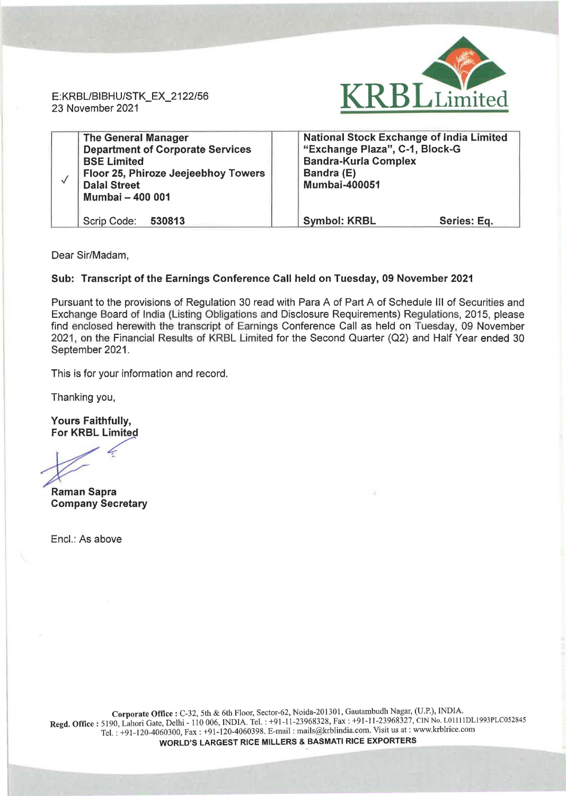

E: KRBL/BIBHU/STK\_EX\_2122/56 23 November 2021

|  | <b>The General Manager</b><br><b>Department of Corporate Services</b><br><b>BSE Limited</b><br>Floor 25, Phiroze Jeejeebhoy Towers | <b>National Stock Exchange of India Limited</b><br>"Exchange Plaza", C-1, Block-G<br><b>Bandra-Kurla Complex</b><br>Bandra (E) |  |
|--|------------------------------------------------------------------------------------------------------------------------------------|--------------------------------------------------------------------------------------------------------------------------------|--|
|  | <b>Dalal Street</b><br>Mumbai - 400 001                                                                                            | <b>Mumbai-400051</b>                                                                                                           |  |
|  | Scrip Code: 530813                                                                                                                 | <b>Symbol: KRBL</b><br>Series: Eq.                                                                                             |  |

Dear Sir/Madam,

## Sub: Transcript of the Earnings Conference Call held on Tuesday, 09 November 2021

Pursuant to the provisions of Regulation 30 read with Para A of Part A of Schedule Ill of Securities and Exchange Board of India (Listing Obligations and Disclosure Requirements) Regulations, 2015, please find enclosed herewith the transcript of Earnings Conference Call as held on Tuesday, 09 November 2021, on the Financial Results of KRBL Limited for the Second Quarter (02) and Half Year ended 30 September 2021.

This is for your information and record.

Thanking you,

Yours Faithfully,<br>For KRBL Limited

Raman Sapra Company Secretary

Encl.: As above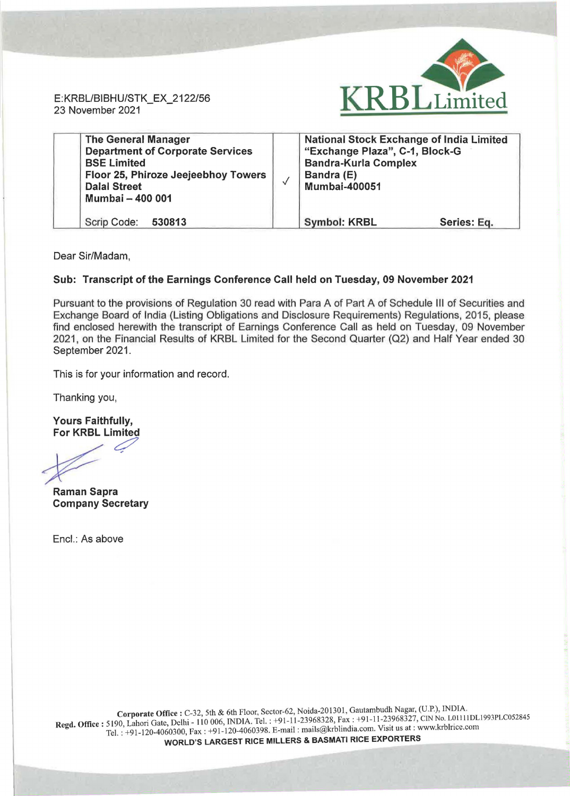E:KRBL/BIBHU/STK\_EX\_2122/56 23 November 2021



| <b>The General Manager</b><br><b>Department of Corporate Services</b><br><b>BSE Limited</b><br>Floor 25, Phiroze Jeejeebhoy Towers<br><b>Dalal Street</b><br>Mumbai - 400 001 | <b>National Stock Exchange of India Limited</b><br>"Exchange Plaza", C-1, Block-G<br><b>Bandra-Kurla Complex</b><br>Bandra (E)<br><b>Mumbai-400051</b> |             |
|-------------------------------------------------------------------------------------------------------------------------------------------------------------------------------|--------------------------------------------------------------------------------------------------------------------------------------------------------|-------------|
| Scrip Code: 530813                                                                                                                                                            | <b>Symbol: KRBL</b>                                                                                                                                    | Series: Eq. |

Dear Sir/Madam,

## Sub: Transcript of the Earnings Conference Call held on Tuesday, 09 November 2021

Pursuant to the provisions of Regulation 30 read with Para A of Part A of Schedule Ill of Securities and Exchange Board of India (Listing Obligations and Disclosure Requirements) Regulations, 2015, please find enclosed herewith the transcript of Earnings Conference Call as held on Tuesday, 09 November 2021, on the Financial Results of KRBL Limited for the Second Quarter (Q2) and Half Year ended 30 September 2021.

This is for your information and record.

Thanking you,

Yours Faithfully, For KRBL Limited

**c:**<br>Paman Sanra

Raman Sapra Company Secretary

Encl.: As above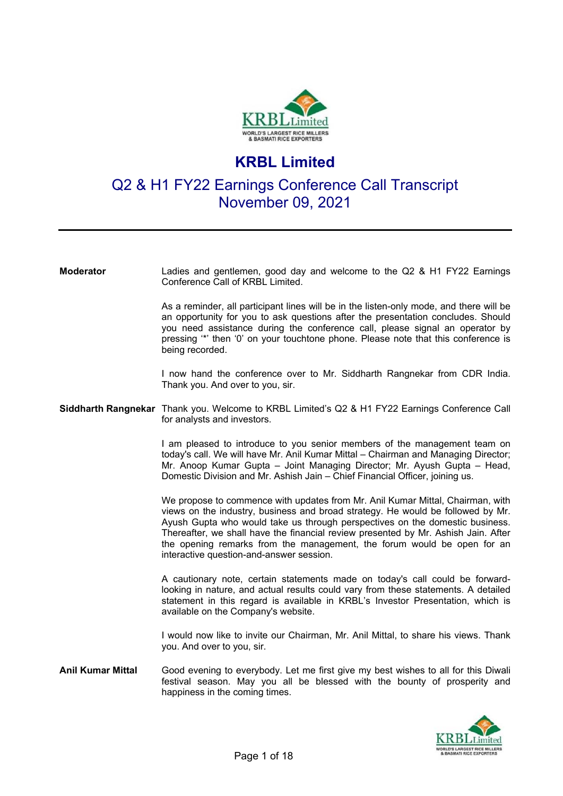

# **KRBL Limited**

# Q2 & H1 FY22 Earnings Conference Call Transcript November 09, 2021

**Moderator** Ladies and gentlemen, good day and welcome to the Q2 & H1 FY22 Earnings Conference Call of KRBL Limited.

> As a reminder, all participant lines will be in the listen-only mode, and there will be an opportunity for you to ask questions after the presentation concludes. Should you need assistance during the conference call, please signal an operator by pressing '\*' then '0' on your touchtone phone. Please note that this conference is being recorded.

> I now hand the conference over to Mr. Siddharth Rangnekar from CDR India. Thank you. And over to you, sir.

### **Siddharth Rangnekar** Thank you. Welcome to KRBL Limited's Q2 & H1 FY22 Earnings Conference Call for analysts and investors.

I am pleased to introduce to you senior members of the management team on today's call. We will have Mr. Anil Kumar Mittal – Chairman and Managing Director; Mr. Anoop Kumar Gupta – Joint Managing Director; Mr. Ayush Gupta – Head, Domestic Division and Mr. Ashish Jain – Chief Financial Officer, joining us.

We propose to commence with updates from Mr. Anil Kumar Mittal, Chairman, with views on the industry, business and broad strategy. He would be followed by Mr. Ayush Gupta who would take us through perspectives on the domestic business. Thereafter, we shall have the financial review presented by Mr. Ashish Jain. After the opening remarks from the management, the forum would be open for an interactive question-and-answer session.

A cautionary note, certain statements made on today's call could be forwardlooking in nature, and actual results could vary from these statements. A detailed statement in this regard is available in KRBL's Investor Presentation, which is available on the Company's website.

I would now like to invite our Chairman, Mr. Anil Mittal, to share his views. Thank you. And over to you, sir.

**Anil Kumar Mittal** Good evening to everybody. Let me first give my best wishes to all for this Diwali festival season. May you all be blessed with the bounty of prosperity and happiness in the coming times.

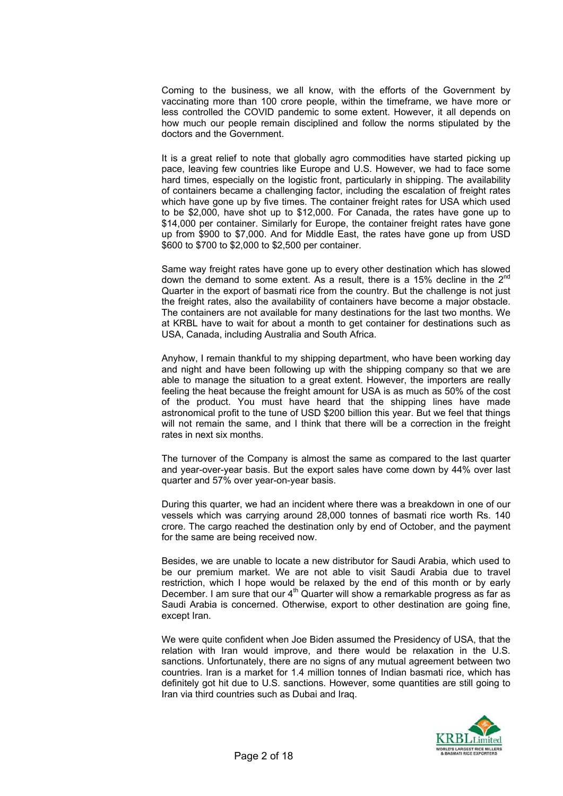Coming to the business, we all know, with the efforts of the Government by vaccinating more than 100 crore people, within the timeframe, we have more or less controlled the COVID pandemic to some extent. However, it all depends on how much our people remain disciplined and follow the norms stipulated by the doctors and the Government.

It is a great relief to note that globally agro commodities have started picking up pace, leaving few countries like Europe and U.S. However, we had to face some hard times, especially on the logistic front, particularly in shipping. The availability of containers became a challenging factor, including the escalation of freight rates which have gone up by five times. The container freight rates for USA which used to be \$2,000, have shot up to \$12,000. For Canada, the rates have gone up to \$14,000 per container. Similarly for Europe, the container freight rates have gone up from \$900 to \$7,000. And for Middle East, the rates have gone up from USD \$600 to \$700 to \$2,000 to \$2,500 per container.

Same way freight rates have gone up to every other destination which has slowed down the demand to some extent. As a result, there is a 15% decline in the 2<sup>nd</sup> Quarter in the export of basmati rice from the country. But the challenge is not just the freight rates, also the availability of containers have become a major obstacle. The containers are not available for many destinations for the last two months. We at KRBL have to wait for about a month to get container for destinations such as USA, Canada, including Australia and South Africa.

Anyhow, I remain thankful to my shipping department, who have been working day and night and have been following up with the shipping company so that we are able to manage the situation to a great extent. However, the importers are really feeling the heat because the freight amount for USA is as much as 50% of the cost of the product. You must have heard that the shipping lines have made astronomical profit to the tune of USD \$200 billion this year. But we feel that things will not remain the same, and I think that there will be a correction in the freight rates in next six months.

The turnover of the Company is almost the same as compared to the last quarter and year-over-year basis. But the export sales have come down by 44% over last quarter and 57% over year-on-year basis.

During this quarter, we had an incident where there was a breakdown in one of our vessels which was carrying around 28,000 tonnes of basmati rice worth Rs. 140 crore. The cargo reached the destination only by end of October, and the payment for the same are being received now.

Besides, we are unable to locate a new distributor for Saudi Arabia, which used to be our premium market. We are not able to visit Saudi Arabia due to travel restriction, which I hope would be relaxed by the end of this month or by early December. I am sure that our  $4<sup>th</sup>$  Quarter will show a remarkable progress as far as Saudi Arabia is concerned. Otherwise, export to other destination are going fine, except Iran.

We were quite confident when Joe Biden assumed the Presidency of USA, that the relation with Iran would improve, and there would be relaxation in the U.S. sanctions. Unfortunately, there are no signs of any mutual agreement between two countries. Iran is a market for 1.4 million tonnes of Indian basmati rice, which has definitely got hit due to U.S. sanctions. However, some quantities are still going to Iran via third countries such as Dubai and Iraq.

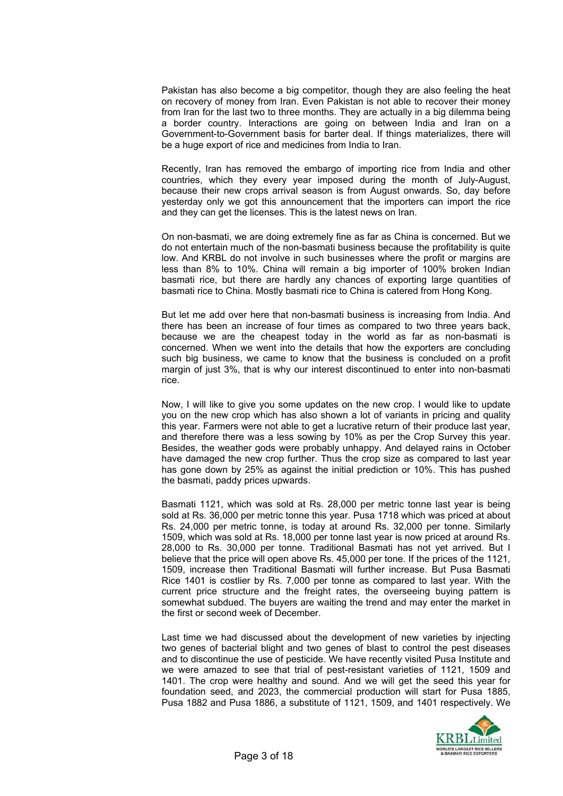Pakistan has also become a big competitor, though they are also feeling the heat on recovery of money from Iran. Even Pakistan is not able to recover their money from Iran for the last two to three months. They are actually in a big dilemma being a border country. Interactions are going on between India and Iran on a Government-to-Government basis for barter deal. If things materializes, there will be a huge export of rice and medicines from India to Iran.

Recently, Iran has removed the embargo of importing rice from India and other countries, which they every year imposed during the month of July-August, because their new crops arrival season is from August onwards. So, day before yesterday only we got this announcement that the importers can import the rice and they can get the licenses. This is the latest news on Iran.

On non-basmati, we are doing extremely fine as far as China is concerned. But we do not entertain much of the non-basmati business because the profitability is quite low. And KRBL do not involve in such businesses where the profit or margins are less than 8% to 10%. China will remain a big importer of 100% broken Indian basmati rice, but there are hardly any chances of exporting large quantities of basmati rice to China. Mostly basmati rice to China is catered from Hong Kong.

But let me add over here that non-basmati business is increasing from India. And there has been an increase of four times as compared to two three years back, because we are the cheapest today in the world as far as non-basmati is concerned. When we went into the details that how the exporters are concluding such big business, we came to know that the business is concluded on a profit margin of just 3%, that is why our interest discontinued to enter into non-basmati rice.

Now, I will like to give you some updates on the new crop. I would like to update you on the new crop which has also shown a lot of variants in pricing and quality this year. Farmers were not able to get a lucrative return of their produce last year, and therefore there was a less sowing by 10% as per the Crop Survey this year. Besides, the weather gods were probably unhappy. And delayed rains in October have damaged the new crop further. Thus the crop size as compared to last year has gone down by 25% as against the initial prediction or 10%. This has pushed the basmati, paddy prices upwards.

Basmati 1121, which was sold at Rs. 28,000 per metric tonne last year is being sold at Rs. 36,000 per metric tonne this year. Pusa 1718 which was priced at about Rs. 24,000 per metric tonne, is today at around Rs. 32,000 per tonne. Similarly 1509, which was sold at Rs. 18,000 per tonne last year is now priced at around Rs. 28,000 to Rs. 30,000 per tonne. Traditional Basmati has not yet arrived. But I believe that the price will open above Rs. 45,000 per tone. If the prices of the 1121, 1509, increase then Traditional Basmati will further increase. But Pusa Basmati Rice 1401 is costlier by Rs. 7,000 per tonne as compared to last year. With the current price structure and the freight rates, the overseeing buying pattern is somewhat subdued. The buyers are waiting the trend and may enter the market in the first or second week of December.

Last time we had discussed about the development of new varieties by injecting two genes of bacterial blight and two genes of blast to control the pest diseases and to discontinue the use of pesticide. We have recently visited Pusa Institute and we were amazed to see that trial of pest-resistant varieties of 1121, 1509 and 1401. The crop were healthy and sound. And we will get the seed this year for foundation seed, and 2023, the commercial production will start for Pusa 1885, Pusa 1882 and Pusa 1886, a substitute of 1121, 1509, and 1401 respectively. We

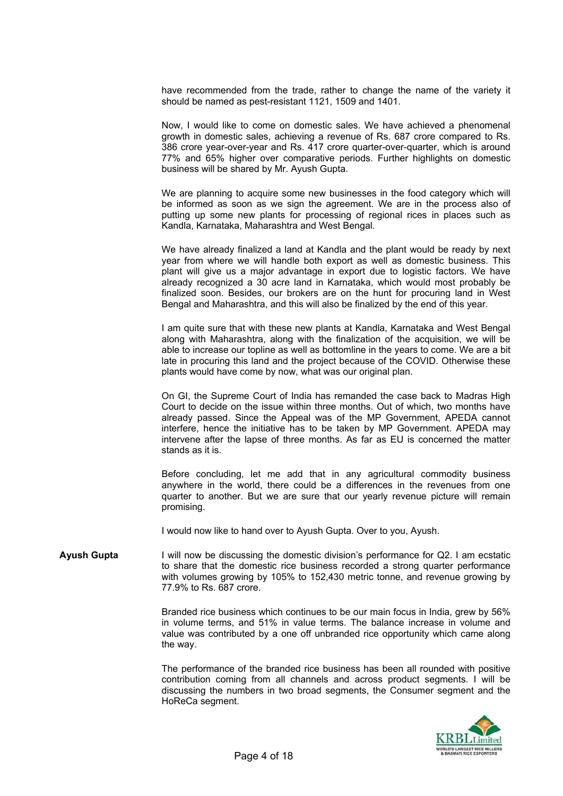have recommended from the trade, rather to change the name of the variety it should be named as pest-resistant 1121, 1509 and 1401.

Now, I would like to come on domestic sales. We have achieved a phenomenal growth in domestic sales, achieving a revenue of Rs. 687 crore compared to Rs. 386 crore year-over-year and Rs. 417 crore quarter-over-quarter, which is around 77% and 65% higher over comparative periods. Further highlights on domestic business will be shared by Mr. Ayush Gupta.

We are planning to acquire some new businesses in the food category which will be informed as soon as we sign the agreement. We are in the process also of putting up some new plants for processing of regional rices in places such as Kandla, Karnataka, Maharashtra and West Bengal.

We have already finalized a land at Kandla and the plant would be ready by next year from where we will handle both export as well as domestic business. This plant will give us a major advantage in export due to logistic factors. We have already recognized a 30 acre land in Karnataka, which would most probably be finalized soon. Besides, our brokers are on the hunt for procuring land in West Bengal and Maharashtra, and this will also be finalized by the end of this year.

I am quite sure that with these new plants at Kandla, Karnataka and West Bengal along with Maharashtra, along with the finalization of the acquisition, we will be able to increase our topline as well as bottomline in the years to come. We are a bit late in procuring this land and the project because of the COVID. Otherwise these plants would have come by now, what was our original plan.

On GI, the Supreme Court of India has remanded the case back to Madras High Court to decide on the issue within three months. Out of which, two months have already passed. Since the Appeal was of the MP Government, APEDA cannot interfere, hence the initiative has to be taken by MP Government. APEDA may intervene after the lapse of three months. As far as EU is concerned the matter stands as it is.

Before concluding, let me add that in any agricultural commodity business anywhere in the world, there could be a differences in the revenues from one quarter to another. But we are sure that our yearly revenue picture will remain promising.

I would now like to hand over to Ayush Gupta. Over to you, Ayush.

**Ayush Gupta** I will now be discussing the domestic division's performance for Q2. I am ecstatic to share that the domestic rice business recorded a strong quarter performance with volumes growing by 105% to 152,430 metric tonne, and revenue growing by 77.9% to Rs. 687 crore.

> Branded rice business which continues to be our main focus in India, grew by 56% in volume terms, and 51% in value terms. The balance increase in volume and value was contributed by a one off unbranded rice opportunity which came along the way.

> The performance of the branded rice business has been all rounded with positive contribution coming from all channels and across product segments. I will be discussing the numbers in two broad segments, the Consumer segment and the HoReCa segment.

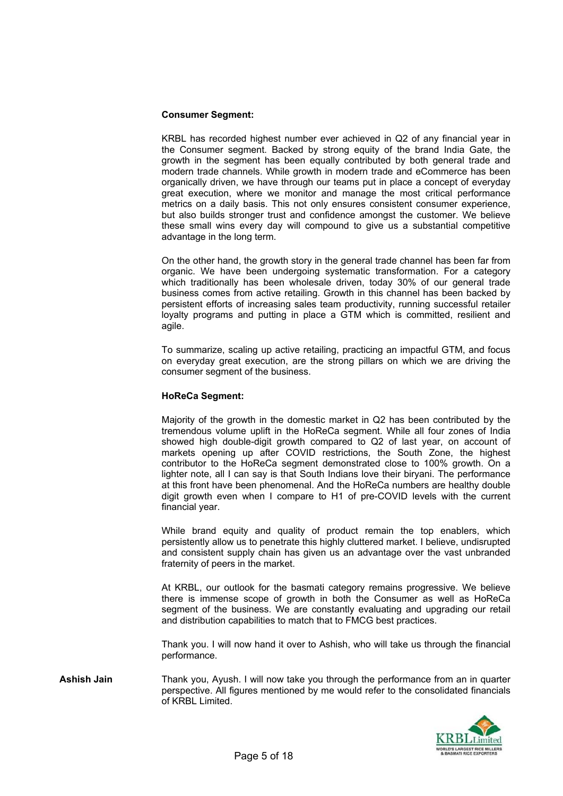### **Consumer Segment:**

KRBL has recorded highest number ever achieved in Q2 of any financial year in the Consumer segment. Backed by strong equity of the brand India Gate, the growth in the segment has been equally contributed by both general trade and modern trade channels. While growth in modern trade and eCommerce has been organically driven, we have through our teams put in place a concept of everyday great execution, where we monitor and manage the most critical performance metrics on a daily basis. This not only ensures consistent consumer experience, but also builds stronger trust and confidence amongst the customer. We believe these small wins every day will compound to give us a substantial competitive advantage in the long term.

On the other hand, the growth story in the general trade channel has been far from organic. We have been undergoing systematic transformation. For a category which traditionally has been wholesale driven, today 30% of our general trade business comes from active retailing. Growth in this channel has been backed by persistent efforts of increasing sales team productivity, running successful retailer loyalty programs and putting in place a GTM which is committed, resilient and agile.

To summarize, scaling up active retailing, practicing an impactful GTM, and focus on everyday great execution, are the strong pillars on which we are driving the consumer segment of the business.

#### **HoReCa Segment:**

Majority of the growth in the domestic market in Q2 has been contributed by the tremendous volume uplift in the HoReCa segment. While all four zones of India showed high double-digit growth compared to Q2 of last year, on account of markets opening up after COVID restrictions, the South Zone, the highest contributor to the HoReCa segment demonstrated close to 100% growth. On a lighter note, all I can say is that South Indians love their biryani. The performance at this front have been phenomenal. And the HoReCa numbers are healthy double digit growth even when I compare to H1 of pre-COVID levels with the current financial year.

While brand equity and quality of product remain the top enablers, which persistently allow us to penetrate this highly cluttered market. I believe, undisrupted and consistent supply chain has given us an advantage over the vast unbranded fraternity of peers in the market.

At KRBL, our outlook for the basmati category remains progressive. We believe there is immense scope of growth in both the Consumer as well as HoReCa segment of the business. We are constantly evaluating and upgrading our retail and distribution capabilities to match that to FMCG best practices.

Thank you. I will now hand it over to Ashish, who will take us through the financial performance.

**Ashish Jain** Thank you, Ayush. I will now take you through the performance from an in quarter perspective. All figures mentioned by me would refer to the consolidated financials of KRBL Limited.

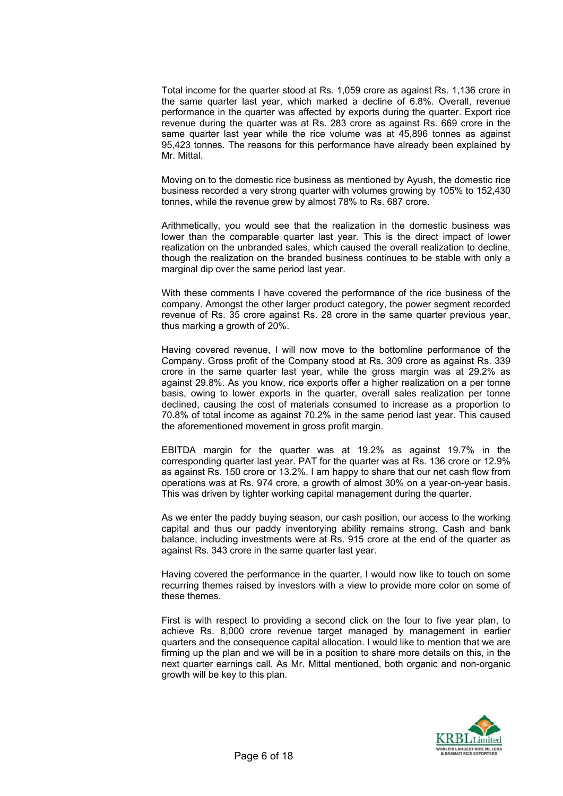Total income for the quarter stood at Rs. 1,059 crore as against Rs. 1,136 crore in the same quarter last year, which marked a decline of 6.8%. Overall, revenue performance in the quarter was affected by exports during the quarter. Export rice revenue during the quarter was at Rs. 283 crore as against Rs. 669 crore in the same quarter last year while the rice volume was at 45,896 tonnes as against 95,423 tonnes. The reasons for this performance have already been explained by Mr. Mittal.

Moving on to the domestic rice business as mentioned by Ayush, the domestic rice business recorded a very strong quarter with volumes growing by 105% to 152,430 tonnes, while the revenue grew by almost 78% to Rs. 687 crore.

Arithmetically, you would see that the realization in the domestic business was lower than the comparable quarter last year. This is the direct impact of lower realization on the unbranded sales, which caused the overall realization to decline, though the realization on the branded business continues to be stable with only a marginal dip over the same period last year.

With these comments I have covered the performance of the rice business of the company. Amongst the other larger product category, the power segment recorded revenue of Rs. 35 crore against Rs. 28 crore in the same quarter previous year, thus marking a growth of 20%.

Having covered revenue, I will now move to the bottomline performance of the Company. Gross profit of the Company stood at Rs. 309 crore as against Rs. 339 crore in the same quarter last year, while the gross margin was at 29.2% as against 29.8%. As you know, rice exports offer a higher realization on a per tonne basis, owing to lower exports in the quarter, overall sales realization per tonne declined, causing the cost of materials consumed to increase as a proportion to 70.8% of total income as against 70.2% in the same period last year. This caused the aforementioned movement in gross profit margin.

EBITDA margin for the quarter was at 19.2% as against 19.7% in the corresponding quarter last year. PAT for the quarter was at Rs. 136 crore or 12.9% as against Rs. 150 crore or 13.2%. I am happy to share that our net cash flow from operations was at Rs. 974 crore, a growth of almost 30% on a year-on-year basis. This was driven by tighter working capital management during the quarter.

As we enter the paddy buying season, our cash position, our access to the working capital and thus our paddy inventorying ability remains strong. Cash and bank balance, including investments were at Rs. 915 crore at the end of the quarter as against Rs. 343 crore in the same quarter last year.

Having covered the performance in the quarter, I would now like to touch on some recurring themes raised by investors with a view to provide more color on some of these themes.

First is with respect to providing a second click on the four to five year plan, to achieve Rs. 8,000 crore revenue target managed by management in earlier quarters and the consequence capital allocation. I would like to mention that we are firming up the plan and we will be in a position to share more details on this, in the next quarter earnings call. As Mr. Mittal mentioned, both organic and non-organic growth will be key to this plan.

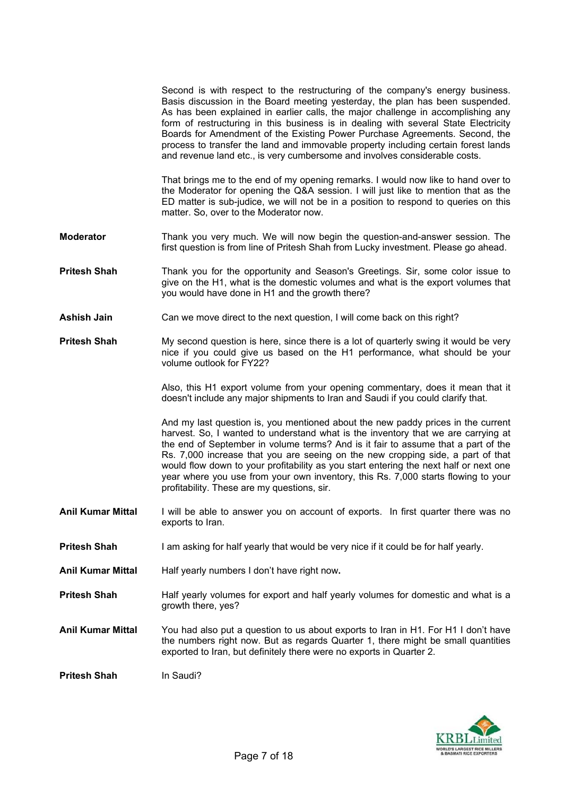|           | Second is with respect to the restructuring of the company's energy business.<br>Basis discussion in the Board meeting yesterday, the plan has been suspended.<br>As has been explained in earlier calls, the major challenge in accomplishing any<br>form of restructuring in this business is in dealing with several State Electricity<br>Boards for Amendment of the Existing Power Purchase Agreements. Second, the<br>process to transfer the land and immovable property including certain forest lands<br>and revenue land etc., is very cumbersome and involves considerable costs. |
|-----------|----------------------------------------------------------------------------------------------------------------------------------------------------------------------------------------------------------------------------------------------------------------------------------------------------------------------------------------------------------------------------------------------------------------------------------------------------------------------------------------------------------------------------------------------------------------------------------------------|
|           | That brings me to the end of my opening remarks. I would now like to hand over to<br>the Moderator for opening the Q&A session. I will just like to mention that as the<br>ED matter is sub-judice, we will not be in a position to respond to queries on this<br>matter. So, over to the Moderator now.                                                                                                                                                                                                                                                                                     |
| Moderator | Thank you very much. We will now begin the question-and-answer session. The<br>first question is from line of Pritesh Shah from Lucky investment. Please go ahead.                                                                                                                                                                                                                                                                                                                                                                                                                           |

- **Pritesh Shah** Thank you for the opportunity and Season's Greetings. Sir, some color issue to give on the H1, what is the domestic volumes and what is the export volumes that you would have done in H1 and the growth there?
- **Ashish Jain** Can we move direct to the next question. I will come back on this right?
- **Pritesh Shah** My second question is here, since there is a lot of quarterly swing it would be very nice if you could give us based on the H1 performance, what should be your volume outlook for FY22?

Also, this H1 export volume from your opening commentary, does it mean that it doesn't include any major shipments to Iran and Saudi if you could clarify that.

And my last question is, you mentioned about the new paddy prices in the current harvest. So, I wanted to understand what is the inventory that we are carrying at the end of September in volume terms? And is it fair to assume that a part of the Rs. 7,000 increase that you are seeing on the new cropping side, a part of that would flow down to your profitability as you start entering the next half or next one year where you use from your own inventory, this Rs. 7,000 starts flowing to your profitability. These are my questions, sir.

- **Anil Kumar Mittal** I will be able to answer you on account of exports. In first quarter there was no exports to Iran.
- **Pritesh Shah** I am asking for half yearly that would be very nice if it could be for half yearly.
- **Anil Kumar Mittal** Half yearly numbers I don't have right now**.**
- **Pritesh Shah Half yearly volumes for export and half yearly volumes for domestic and what is a** growth there, yes?
- **Anil Kumar Mittal** You had also put a question to us about exports to Iran in H1. For H1 I don't have the numbers right now. But as regards Quarter 1, there might be small quantities exported to Iran, but definitely there were no exports in Quarter 2.

**Pritesh Shah** In Saudi?

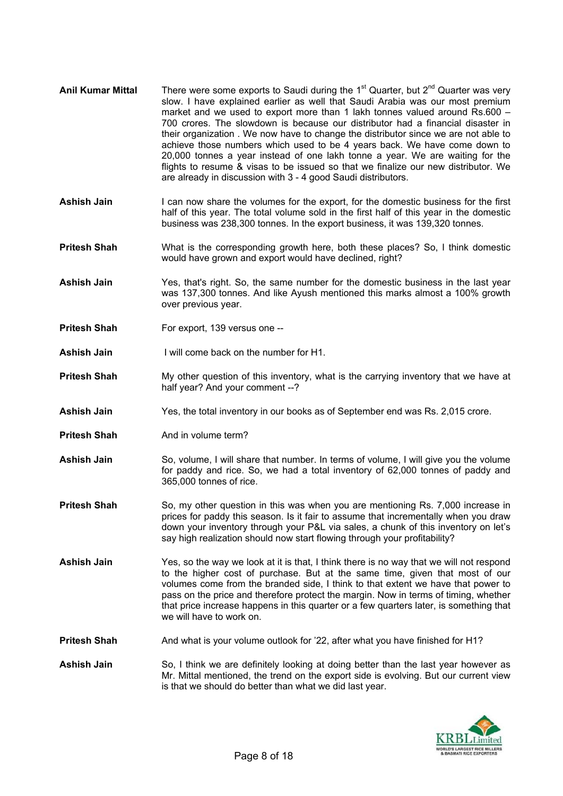- Anil Kumar Mittal There were some exports to Saudi during the 1<sup>st</sup> Quarter, but 2<sup>nd</sup> Quarter was very slow. I have explained earlier as well that Saudi Arabia was our most premium market and we used to export more than 1 lakh tonnes valued around Rs.600 – 700 crores. The slowdown is because our distributor had a financial disaster in their organization . We now have to change the distributor since we are not able to achieve those numbers which used to be 4 years back. We have come down to 20,000 tonnes a year instead of one lakh tonne a year. We are waiting for the flights to resume & visas to be issued so that we finalize our new distributor. We are already in discussion with 3 - 4 good Saudi distributors.
- Ashish Jain I can now share the volumes for the export, for the domestic business for the first half of this year. The total volume sold in the first half of this year in the domestic business was 238,300 tonnes. In the export business, it was 139,320 tonnes.
- **Pritesh Shah** What is the corresponding growth here, both these places? So, I think domestic would have grown and export would have declined, right?
- **Ashish Jain** Yes, that's right. So, the same number for the domestic business in the last year was 137,300 tonnes. And like Ayush mentioned this marks almost a 100% growth over previous year.
- **Pritesh Shah** For export, 139 versus one --
- **Ashish Jain** I will come back on the number for H1.
- **Pritesh Shah** My other question of this inventory, what is the carrying inventory that we have at half year? And your comment --?
- **Ashish Jain** Yes, the total inventory in our books as of September end was Rs. 2,015 crore.
- **Pritesh Shah** And in volume term?
- Ashish Jain So, volume, I will share that number. In terms of volume, I will give you the volume for paddy and rice. So, we had a total inventory of 62,000 tonnes of paddy and 365,000 tonnes of rice.
- **Pritesh Shah** So, my other question in this was when you are mentioning Rs. 7,000 increase in prices for paddy this season. Is it fair to assume that incrementally when you draw down your inventory through your P&L via sales, a chunk of this inventory on let's say high realization should now start flowing through your profitability?
- **Ashish Jain** Yes, so the way we look at it is that, I think there is no way that we will not respond to the higher cost of purchase. But at the same time, given that most of our volumes come from the branded side, I think to that extent we have that power to pass on the price and therefore protect the margin. Now in terms of timing, whether that price increase happens in this quarter or a few quarters later, is something that we will have to work on.
- **Pritesh Shah** And what is your volume outlook for '22, after what you have finished for H1?
- **Ashish Jain** So, I think we are definitely looking at doing better than the last year however as Mr. Mittal mentioned, the trend on the export side is evolving. But our current view is that we should do better than what we did last year.

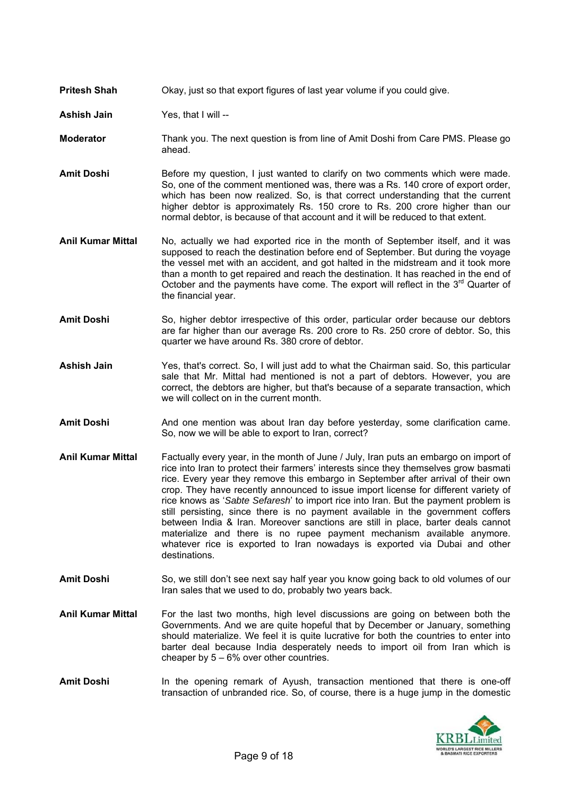- **Pritesh Shah** Okay, just so that export figures of last year volume if you could give.
- **Ashish Jain** Yes, that I will --
- **Moderator** Thank you. The next question is from line of Amit Doshi from Care PMS. Please go ahead.
- **Amit Doshi** Before my question, I just wanted to clarify on two comments which were made. So, one of the comment mentioned was, there was a Rs. 140 crore of export order, which has been now realized. So, is that correct understanding that the current higher debtor is approximately Rs. 150 crore to Rs. 200 crore higher than our normal debtor, is because of that account and it will be reduced to that extent.
- **Anil Kumar Mittal** No, actually we had exported rice in the month of September itself, and it was supposed to reach the destination before end of September. But during the voyage the vessel met with an accident, and got halted in the midstream and it took more than a month to get repaired and reach the destination. It has reached in the end of October and the payments have come. The export will reflect in the  $3<sup>rd</sup>$  Quarter of the financial year.
- Amit Doshi So, higher debtor irrespective of this order, particular order because our debtors are far higher than our average Rs. 200 crore to Rs. 250 crore of debtor. So, this quarter we have around Rs. 380 crore of debtor.
- **Ashish Jain** Yes, that's correct. So, I will just add to what the Chairman said. So, this particular sale that Mr. Mittal had mentioned is not a part of debtors. However, you are correct, the debtors are higher, but that's because of a separate transaction, which we will collect on in the current month.
- **Amit Doshi** And one mention was about Iran day before yesterday, some clarification came. So, now we will be able to export to Iran, correct?
- **Anil Kumar Mittal** Factually every year, in the month of June / July, Iran puts an embargo on import of rice into Iran to protect their farmers' interests since they themselves grow basmati rice. Every year they remove this embargo in September after arrival of their own crop. They have recently announced to issue import license for different variety of rice knows as '*Sabte Sefaresh*' to import rice into Iran. But the payment problem is still persisting, since there is no payment available in the government coffers between India & Iran. Moreover sanctions are still in place, barter deals cannot materialize and there is no rupee payment mechanism available anymore. whatever rice is exported to Iran nowadays is exported via Dubai and other destinations.
- **Amit Doshi** So, we still don't see next say half year you know going back to old volumes of our Iran sales that we used to do, probably two years back.
- **Anil Kumar Mittal** For the last two months, high level discussions are going on between both the Governments. And we are quite hopeful that by December or January, something should materialize. We feel it is quite lucrative for both the countries to enter into barter deal because India desperately needs to import oil from Iran which is cheaper by  $5 - 6\%$  over other countries.
- **Amit Doshi** In the opening remark of Ayush, transaction mentioned that there is one-off transaction of unbranded rice. So, of course, there is a huge jump in the domestic

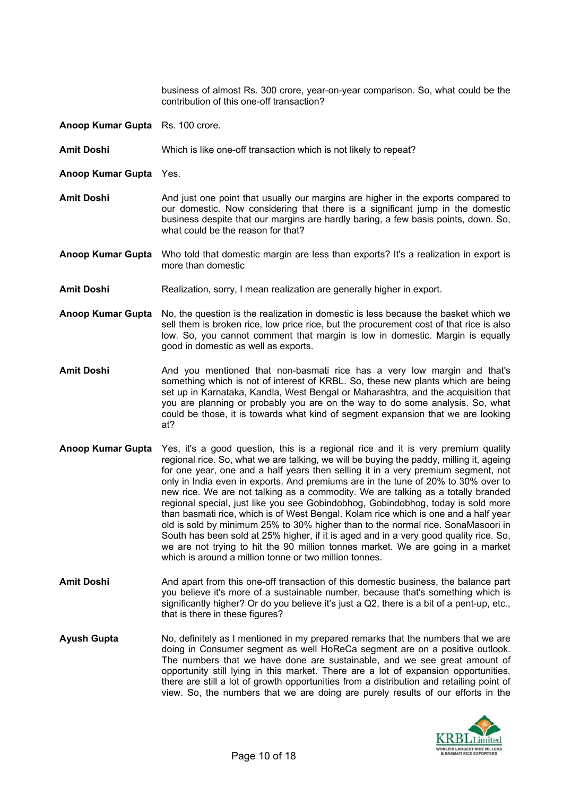business of almost Rs. 300 crore, year-on-year comparison. So, what could be the contribution of this one-off transaction?

- **Anoop Kumar Gupta** Rs. 100 crore.
- **Amit Doshi** Which is like one-off transaction which is not likely to repeat?
- **Anoop Kumar Gupta** Yes.
- **Amit Doshi** And just one point that usually our margins are higher in the exports compared to our domestic. Now considering that there is a significant jump in the domestic business despite that our margins are hardly baring, a few basis points, down. So, what could be the reason for that?
- **Anoop Kumar Gupta** Who told that domestic margin are less than exports? It's a realization in export is more than domestic
- Amit Doshi Realization, sorry, I mean realization are generally higher in export.
- **Anoop Kumar Gupta** No, the question is the realization in domestic is less because the basket which we sell them is broken rice, low price rice, but the procurement cost of that rice is also low. So, you cannot comment that margin is low in domestic. Margin is equally good in domestic as well as exports.
- Amit Doshi **And you mentioned that non-basmati rice has a very low margin and that's** something which is not of interest of KRBL. So, these new plants which are being set up in Karnataka, Kandla, West Bengal or Maharashtra, and the acquisition that you are planning or probably you are on the way to do some analysis. So, what could be those, it is towards what kind of segment expansion that we are looking at?
- **Anoop Kumar Gupta** Yes, it's a good question, this is a regional rice and it is very premium quality regional rice. So, what we are talking, we will be buying the paddy, milling it, ageing for one year, one and a half years then selling it in a very premium segment, not only in India even in exports. And premiums are in the tune of 20% to 30% over to new rice. We are not talking as a commodity. We are talking as a totally branded regional special, just like you see Gobindobhog, Gobindobhog, today is sold more than basmati rice, which is of West Bengal. Kolam rice which is one and a half year old is sold by minimum 25% to 30% higher than to the normal rice. SonaMasoori in South has been sold at 25% higher, if it is aged and in a very good quality rice. So, we are not trying to hit the 90 million tonnes market. We are going in a market which is around a million tonne or two million tonnes.
- **Amit Doshi** And apart from this one-off transaction of this domestic business, the balance part you believe it's more of a sustainable number, because that's something which is significantly higher? Or do you believe it's just a Q2, there is a bit of a pent-up, etc., that is there in these figures?
- **Ayush Gupta** No, definitely as I mentioned in my prepared remarks that the numbers that we are doing in Consumer segment as well HoReCa segment are on a positive outlook. The numbers that we have done are sustainable, and we see great amount of opportunity still lying in this market. There are a lot of expansion opportunities, there are still a lot of growth opportunities from a distribution and retailing point of view. So, the numbers that we are doing are purely results of our efforts in the

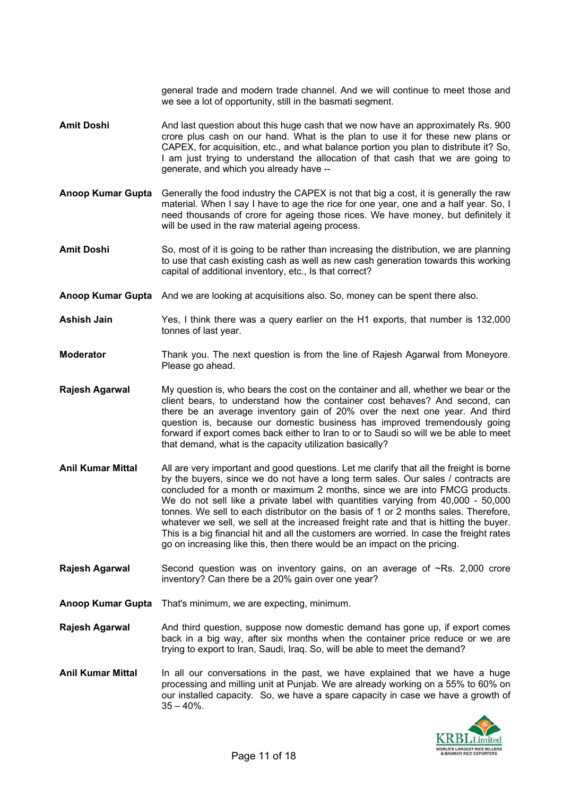general trade and modern trade channel. And we will continue to meet those and we see a lot of opportunity, still in the basmati segment.

- **Amit Doshi** And last question about this huge cash that we now have an approximately Rs. 900 crore plus cash on our hand. What is the plan to use it for these new plans or CAPEX, for acquisition, etc., and what balance portion you plan to distribute it? So, I am just trying to understand the allocation of that cash that we are going to generate, and which you already have --
- **Anoop Kumar Gupta** Generally the food industry the CAPEX is not that big a cost, it is generally the raw material. When I say I have to age the rice for one year, one and a half year. So, I need thousands of crore for ageing those rices. We have money, but definitely it will be used in the raw material ageing process.
- **Amit Doshi** So, most of it is going to be rather than increasing the distribution, we are planning to use that cash existing cash as well as new cash generation towards this working capital of additional inventory, etc., Is that correct?
- **Anoop Kumar Gupta** And we are looking at acquisitions also. So, money can be spent there also.
- **Ashish Jain** Yes, I think there was a query earlier on the H1 exports, that number is 132,000 tonnes of last year.
- **Moderator** Thank you. The next question is from the line of Rajesh Agarwal from Moneyore. Please go ahead.
- **Rajesh Agarwal** My question is, who bears the cost on the container and all, whether we bear or the client bears, to understand how the container cost behaves? And second, can there be an average inventory gain of 20% over the next one year. And third question is, because our domestic business has improved tremendously going forward if export comes back either to Iran to or to Saudi so will we be able to meet that demand, what is the capacity utilization basically?
- **Anil Kumar Mittal** All are very important and good questions. Let me clarify that all the freight is borne by the buyers, since we do not have a long term sales. Our sales / contracts are concluded for a month or maximum 2 months, since we are into FMCG products. We do not sell like a private label with quantities varying from 40,000 - 50,000 tonnes. We sell to each distributor on the basis of 1 or 2 months sales. Therefore, whatever we sell, we sell at the increased freight rate and that is hitting the buyer. This is a big financial hit and all the customers are worried. In case the freight rates go on increasing like this, then there would be an impact on the pricing.
- **Rajesh Agarwal** Second question was on inventory gains, on an average of ~Rs. 2,000 crore inventory? Can there be a 20% gain over one year?
- **Anoop Kumar Gupta** That's minimum, we are expecting, minimum.
- **Rajesh Agarwal** 2. And third question, suppose now domestic demand has gone up, if export comes back in a big way, after six months when the container price reduce or we are trying to export to Iran, Saudi, Iraq. So, will be able to meet the demand?
- **Anil Kumar Mittal** In all our conversations in the past, we have explained that we have a huge processing and milling unit at Punjab. We are already working on a 55% to 60% on our installed capacity. So, we have a spare capacity in case we have a growth of  $35 - 40%$ .

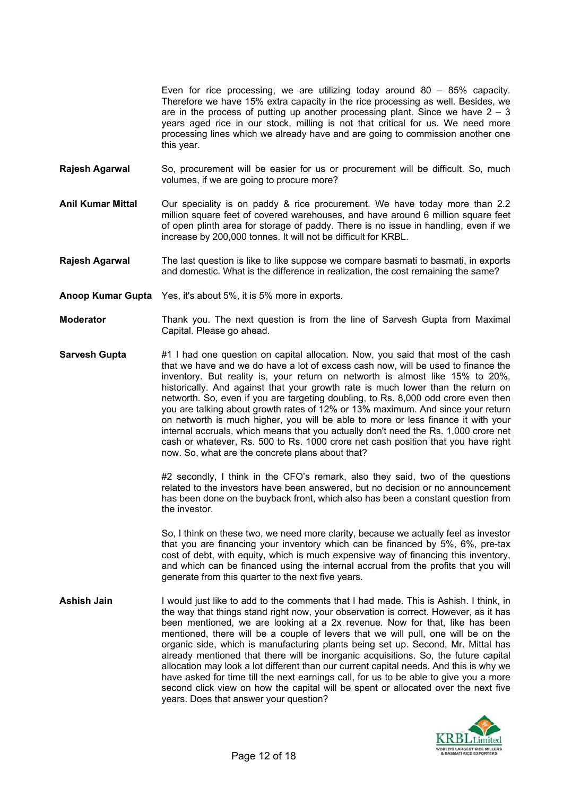Even for rice processing, we are utilizing today around 80 – 85% capacity. Therefore we have 15% extra capacity in the rice processing as well. Besides, we are in the process of putting up another processing plant. Since we have  $2 - 3$ years aged rice in our stock, milling is not that critical for us. We need more processing lines which we already have and are going to commission another one this year.

- **Rajesh Agarwal** So, procurement will be easier for us or procurement will be difficult. So, much volumes, if we are going to procure more?
- **Anil Kumar Mittal** Our speciality is on paddy & rice procurement. We have today more than 2.2 million square feet of covered warehouses, and have around 6 million square feet of open plinth area for storage of paddy. There is no issue in handling, even if we increase by 200,000 tonnes. It will not be difficult for KRBL.
- **Rajesh Agarwal** The last question is like to like suppose we compare basmati to basmati, in exports and domestic. What is the difference in realization, the cost remaining the same?
- **Anoop Kumar Gupta** Yes, it's about 5%, it is 5% more in exports.
- **Moderator** Thank you. The next question is from the line of Sarvesh Gupta from Maximal Capital. Please go ahead.
- **Sarvesh Gupta** #1 I had one question on capital allocation. Now, you said that most of the cash that we have and we do have a lot of excess cash now, will be used to finance the inventory. But reality is, your return on networth is almost like 15% to 20%, historically. And against that your growth rate is much lower than the return on networth. So, even if you are targeting doubling, to Rs. 8,000 odd crore even then you are talking about growth rates of 12% or 13% maximum. And since your return on networth is much higher, you will be able to more or less finance it with your internal accruals, which means that you actually don't need the Rs. 1,000 crore net cash or whatever, Rs. 500 to Rs. 1000 crore net cash position that you have right now. So, what are the concrete plans about that?

#2 secondly, I think in the CFO's remark, also they said, two of the questions related to the investors have been answered, but no decision or no announcement has been done on the buyback front, which also has been a constant question from the investor.

So, I think on these two, we need more clarity, because we actually feel as investor that you are financing your inventory which can be financed by 5%, 6%, pre-tax cost of debt, with equity, which is much expensive way of financing this inventory, and which can be financed using the internal accrual from the profits that you will generate from this quarter to the next five years.

**Ashish Jain** I would just like to add to the comments that I had made. This is Ashish. I think, in the way that things stand right now, your observation is correct. However, as it has been mentioned, we are looking at a 2x revenue. Now for that, like has been mentioned, there will be a couple of levers that we will pull, one will be on the organic side, which is manufacturing plants being set up. Second, Mr. Mittal has already mentioned that there will be inorganic acquisitions. So, the future capital allocation may look a lot different than our current capital needs. And this is why we have asked for time till the next earnings call, for us to be able to give you a more second click view on how the capital will be spent or allocated over the next five years. Does that answer your question?

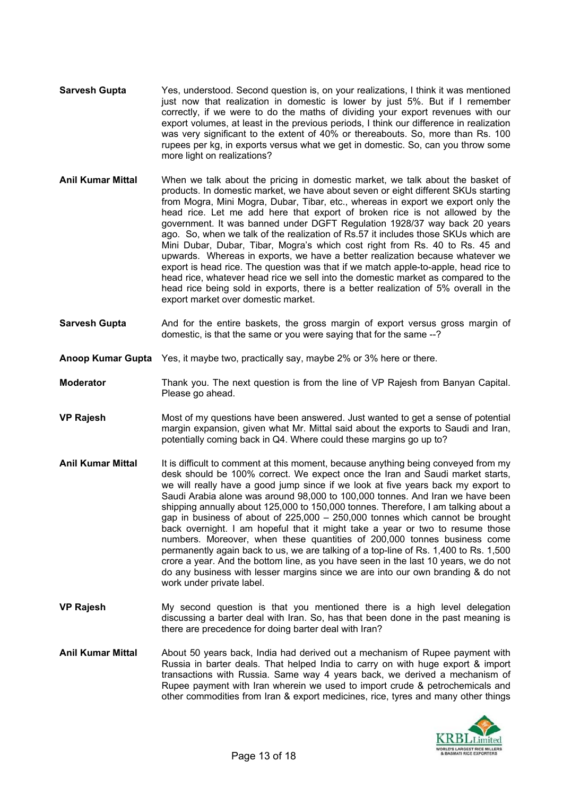- **Sarvesh Gupta** Yes, understood. Second question is, on your realizations, I think it was mentioned just now that realization in domestic is lower by just 5%. But if I remember correctly, if we were to do the maths of dividing your export revenues with our export volumes, at least in the previous periods, I think our difference in realization was very significant to the extent of 40% or thereabouts. So, more than Rs. 100 rupees per kg, in exports versus what we get in domestic. So, can you throw some more light on realizations?
- **Anil Kumar Mittal** When we talk about the pricing in domestic market, we talk about the basket of products. In domestic market, we have about seven or eight different SKUs starting from Mogra, Mini Mogra, Dubar, Tibar, etc., whereas in export we export only the head rice. Let me add here that export of broken rice is not allowed by the government. It was banned under DGFT Regulation 1928/37 way back 20 years ago. So, when we talk of the realization of Rs.57 it includes those SKUs which are Mini Dubar, Dubar, Tibar, Mogra's which cost right from Rs. 40 to Rs. 45 and upwards. Whereas in exports, we have a better realization because whatever we export is head rice. The question was that if we match apple-to-apple, head rice to head rice, whatever head rice we sell into the domestic market as compared to the head rice being sold in exports, there is a better realization of 5% overall in the export market over domestic market.
- **Sarvesh Gupta** And for the entire baskets, the gross margin of export versus gross margin of domestic, is that the same or you were saying that for the same --?
- **Anoop Kumar Gupta** Yes, it maybe two, practically say, maybe 2% or 3% here or there.

**Moderator** Thank you. The next question is from the line of VP Rajesh from Banyan Capital. Please go ahead.

- **VP Rajesh** Most of my questions have been answered. Just wanted to get a sense of potential margin expansion, given what Mr. Mittal said about the exports to Saudi and Iran, potentially coming back in Q4. Where could these margins go up to?
- **Anil Kumar Mittal** It is difficult to comment at this moment, because anything being conveyed from my desk should be 100% correct. We expect once the Iran and Saudi market starts, we will really have a good jump since if we look at five years back my export to Saudi Arabia alone was around 98,000 to 100,000 tonnes. And Iran we have been shipping annually about 125,000 to 150,000 tonnes. Therefore, I am talking about a gap in business of about of 225,000 – 250,000 tonnes which cannot be brought back overnight. I am hopeful that it might take a year or two to resume those numbers. Moreover, when these quantities of 200,000 tonnes business come permanently again back to us, we are talking of a top-line of Rs. 1,400 to Rs. 1,500 crore a year. And the bottom line, as you have seen in the last 10 years, we do not do any business with lesser margins since we are into our own branding & do not work under private label.
- **VP Rajesh** My second question is that you mentioned there is a high level delegation discussing a barter deal with Iran. So, has that been done in the past meaning is there are precedence for doing barter deal with Iran?
- **Anil Kumar Mittal** About 50 years back, India had derived out a mechanism of Rupee payment with Russia in barter deals. That helped India to carry on with huge export & import transactions with Russia. Same way 4 years back, we derived a mechanism of Rupee payment with Iran wherein we used to import crude & petrochemicals and other commodities from Iran & export medicines, rice, tyres and many other things

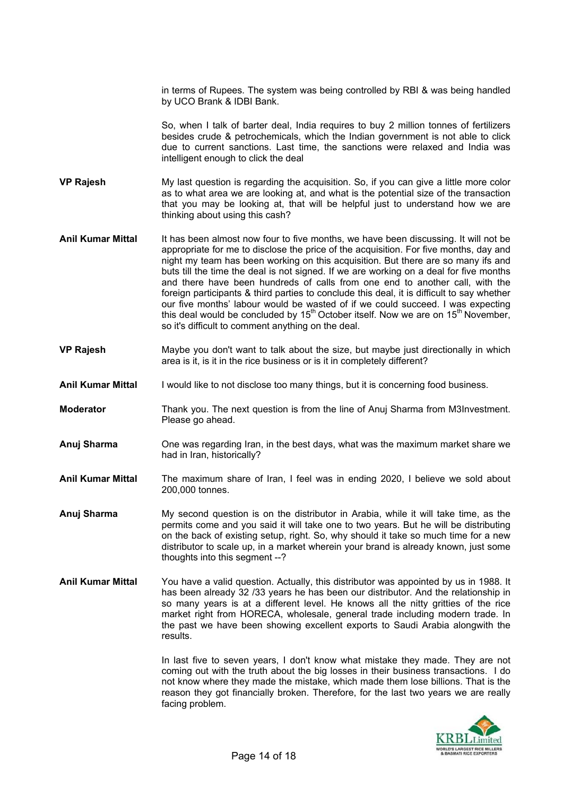in terms of Rupees. The system was being controlled by RBI & was being handled by UCO Brank & IDBI Bank.

So, when I talk of barter deal, India requires to buy 2 million tonnes of fertilizers besides crude & petrochemicals, which the Indian government is not able to click due to current sanctions. Last time, the sanctions were relaxed and India was intelligent enough to click the deal

- **VP Rajesh** My last question is regarding the acquisition. So, if you can give a little more color as to what area we are looking at, and what is the potential size of the transaction that you may be looking at, that will be helpful just to understand how we are thinking about using this cash?
- **Anil Kumar Mittal** It has been almost now four to five months, we have been discussing. It will not be appropriate for me to disclose the price of the acquisition. For five months, day and night my team has been working on this acquisition. But there are so many ifs and buts till the time the deal is not signed. If we are working on a deal for five months and there have been hundreds of calls from one end to another call, with the foreign participants & third parties to conclude this deal, it is difficult to say whether our five months' labour would be wasted of if we could succeed. I was expecting this deal would be concluded by  $15<sup>th</sup>$  October itself. Now we are on  $15<sup>th</sup>$  November, so it's difficult to comment anything on the deal.
- **VP Rajesh** Maybe you don't want to talk about the size, but maybe just directionally in which area is it, is it in the rice business or is it in completely different?
- **Anil Kumar Mittal** I would like to not disclose too many things, but it is concerning food business.
- **Moderator** Thank you. The next question is from the line of Anuj Sharma from M3Investment. Please go ahead.
- **Anuj Sharma** One was regarding Iran, in the best days, what was the maximum market share we had in Iran, historically?
- **Anil Kumar Mittal** The maximum share of Iran, I feel was in ending 2020, I believe we sold about 200,000 tonnes.
- **Anuj Sharma** My second question is on the distributor in Arabia, while it will take time, as the permits come and you said it will take one to two years. But he will be distributing on the back of existing setup, right. So, why should it take so much time for a new distributor to scale up, in a market wherein your brand is already known, just some thoughts into this segment --?
- **Anil Kumar Mittal** You have a valid question. Actually, this distributor was appointed by us in 1988. It has been already 32 /33 years he has been our distributor. And the relationship in so many years is at a different level. He knows all the nitty gritties of the rice market right from HORECA, wholesale, general trade including modern trade. In the past we have been showing excellent exports to Saudi Arabia alongwith the results.

In last five to seven years, I don't know what mistake they made. They are not coming out with the truth about the big losses in their business transactions. I do not know where they made the mistake, which made them lose billions. That is the reason they got financially broken. Therefore, for the last two years we are really facing problem.

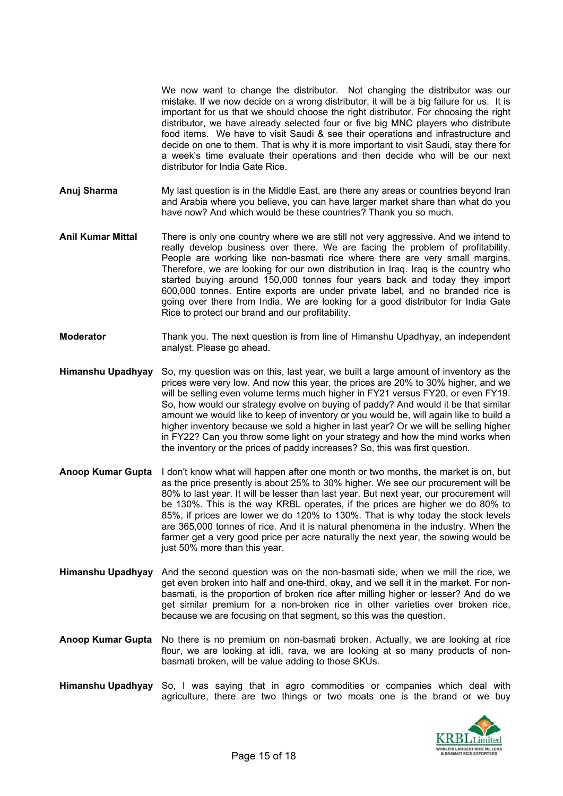We now want to change the distributor. Not changing the distributor was our mistake. If we now decide on a wrong distributor, it will be a big failure for us. It is important for us that we should choose the right distributor. For choosing the right distributor, we have already selected four or five big MNC players who distribute food items. We have to visit Saudi & see their operations and infrastructure and decide on one to them. That is why it is more important to visit Saudi, stay there for a week's time evaluate their operations and then decide who will be our next distributor for India Gate Rice.

- **Anuj Sharma** My last question is in the Middle East, are there any areas or countries beyond Iran and Arabia where you believe, you can have larger market share than what do you have now? And which would be these countries? Thank you so much.
- **Anil Kumar Mittal** There is only one country where we are still not very aggressive. And we intend to really develop business over there. We are facing the problem of profitability. People are working like non-basmati rice where there are very small margins. Therefore, we are looking for our own distribution in Iraq. Iraq is the country who started buying around 150,000 tonnes four years back and today they import 600,000 tonnes. Entire exports are under private label, and no branded rice is going over there from India. We are looking for a good distributor for India Gate Rice to protect our brand and our profitability.
- **Moderator** Thank you. The next question is from line of Himanshu Upadhyay, an independent analyst. Please go ahead.
- **Himanshu Upadhyay** So, my question was on this, last year, we built a large amount of inventory as the prices were very low. And now this year, the prices are 20% to 30% higher, and we will be selling even volume terms much higher in FY21 versus FY20, or even FY19. So, how would our strategy evolve on buying of paddy? And would it be that similar amount we would like to keep of inventory or you would be, will again like to build a higher inventory because we sold a higher in last year? Or we will be selling higher in FY22? Can you throw some light on your strategy and how the mind works when the inventory or the prices of paddy increases? So, this was first question.
- **Anoop Kumar Gupta** I don't know what will happen after one month or two months, the market is on, but as the price presently is about 25% to 30% higher. We see our procurement will be 80% to last year. It will be lesser than last year. But next year, our procurement will be 130%. This is the way KRBL operates, if the prices are higher we do 80% to 85%, if prices are lower we do 120% to 130%. That is why today the stock levels are 365,000 tonnes of rice. And it is natural phenomena in the industry. When the farmer get a very good price per acre naturally the next year, the sowing would be just 50% more than this year.
- **Himanshu Upadhyay** And the second question was on the non-basmati side, when we mill the rice, we get even broken into half and one-third, okay, and we sell it in the market. For nonbasmati, is the proportion of broken rice after milling higher or lesser? And do we get similar premium for a non-broken rice in other varieties over broken rice, because we are focusing on that segment, so this was the question.
- **Anoop Kumar Gupta** No there is no premium on non-basmati broken. Actually, we are looking at rice flour, we are looking at idli, rava, we are looking at so many products of nonbasmati broken, will be value adding to those SKUs.
- **Himanshu Upadhyay** So, I was saying that in agro commodities or companies which deal with agriculture, there are two things or two moats one is the brand or we buy

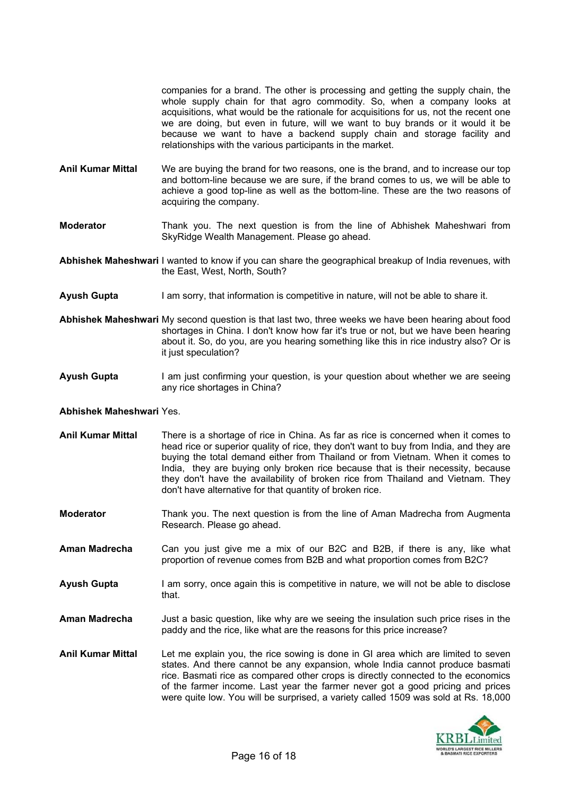companies for a brand. The other is processing and getting the supply chain, the whole supply chain for that agro commodity. So, when a company looks at acquisitions, what would be the rationale for acquisitions for us, not the recent one we are doing, but even in future, will we want to buy brands or it would it be because we want to have a backend supply chain and storage facility and relationships with the various participants in the market.

- **Anil Kumar Mittal** We are buying the brand for two reasons, one is the brand, and to increase our top and bottom-line because we are sure, if the brand comes to us, we will be able to achieve a good top-line as well as the bottom-line. These are the two reasons of acquiring the company.
- **Moderator** Thank you. The next question is from the line of Abhishek Maheshwari from SkyRidge Wealth Management. Please go ahead.

**Abhishek Maheshwari** I wanted to know if you can share the geographical breakup of India revenues, with the East, West, North, South?

- **Ayush Gupta** I am sorry, that information is competitive in nature, will not be able to share it.
- **Abhishek Maheshwari** My second question is that last two, three weeks we have been hearing about food shortages in China. I don't know how far it's true or not, but we have been hearing about it. So, do you, are you hearing something like this in rice industry also? Or is it just speculation?
- **Ayush Gupta** I am just confirming your question, is your question about whether we are seeing any rice shortages in China?

#### **Abhishek Maheshwari** Yes.

- **Anil Kumar Mittal** There is a shortage of rice in China. As far as rice is concerned when it comes to head rice or superior quality of rice, they don't want to buy from India, and they are buying the total demand either from Thailand or from Vietnam. When it comes to India, they are buying only broken rice because that is their necessity, because they don't have the availability of broken rice from Thailand and Vietnam. They don't have alternative for that quantity of broken rice.
- **Moderator** Thank you. The next question is from the line of Aman Madrecha from Augmenta Research. Please go ahead.
- **Aman Madrecha** Can you just give me a mix of our B2C and B2B, if there is any, like what proportion of revenue comes from B2B and what proportion comes from B2C?
- Ayush Gupta I am sorry, once again this is competitive in nature, we will not be able to disclose that.
- **Aman Madrecha** Just a basic question, like why are we seeing the insulation such price rises in the paddy and the rice, like what are the reasons for this price increase?
- **Anil Kumar Mittal** Let me explain you, the rice sowing is done in GI area which are limited to seven states. And there cannot be any expansion, whole India cannot produce basmati rice. Basmati rice as compared other crops is directly connected to the economics of the farmer income. Last year the farmer never got a good pricing and prices were quite low. You will be surprised, a variety called 1509 was sold at Rs. 18,000

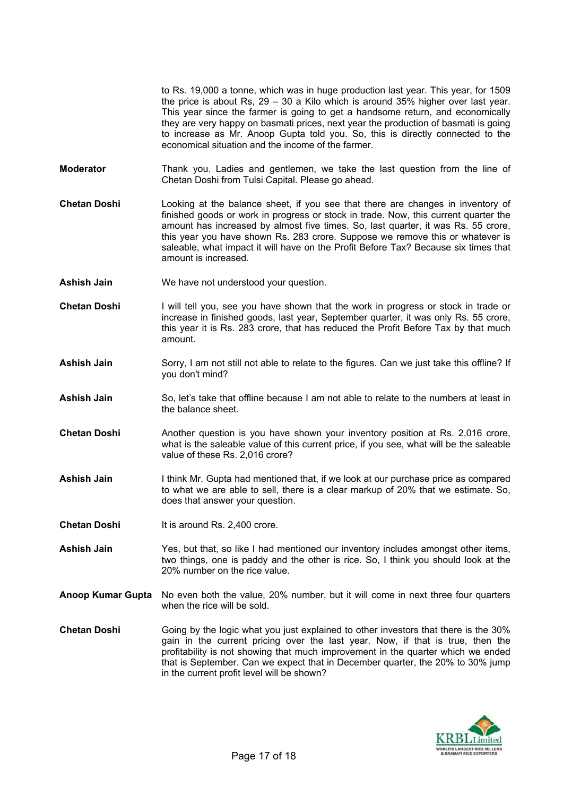to Rs. 19,000 a tonne, which was in huge production last year. This year, for 1509 the price is about Rs, 29 – 30 a Kilo which is around 35% higher over last year. This year since the farmer is going to get a handsome return, and economically they are very happy on basmati prices, next year the production of basmati is going to increase as Mr. Anoop Gupta told you. So, this is directly connected to the economical situation and the income of the farmer.

- **Moderator** Thank you. Ladies and gentlemen, we take the last question from the line of Chetan Doshi from Tulsi Capital. Please go ahead.
- **Chetan Doshi** Looking at the balance sheet, if you see that there are changes in inventory of finished goods or work in progress or stock in trade. Now, this current quarter the amount has increased by almost five times. So, last quarter, it was Rs. 55 crore, this year you have shown Rs. 283 crore. Suppose we remove this or whatever is saleable, what impact it will have on the Profit Before Tax? Because six times that amount is increased.
- **Ashish Jain** We have not understood your question.
- **Chetan Doshi** I will tell you, see you have shown that the work in progress or stock in trade or increase in finished goods, last year, September quarter, it was only Rs. 55 crore, this year it is Rs. 283 crore, that has reduced the Profit Before Tax by that much amount.
- **Ashish Jain** Sorry, I am not still not able to relate to the figures. Can we just take this offline? If you don't mind?
- **Ashish Jain** So, let's take that offline because I am not able to relate to the numbers at least in the balance sheet.
- **Chetan Doshi** Another question is you have shown your inventory position at Rs. 2,016 crore, what is the saleable value of this current price, if you see, what will be the saleable value of these Rs. 2,016 crore?
- **Ashish Jain** I think Mr. Gupta had mentioned that, if we look at our purchase price as compared to what we are able to sell, there is a clear markup of 20% that we estimate. So, does that answer your question.
- **Chetan Doshi** It is around Rs. 2,400 crore.
- **Ashish Jain** Yes, but that, so like I had mentioned our inventory includes amongst other items, two things, one is paddy and the other is rice. So, I think you should look at the 20% number on the rice value.
- **Anoop Kumar Gupta** No even both the value, 20% number, but it will come in next three four quarters when the rice will be sold.
- **Chetan Doshi** Going by the logic what you just explained to other investors that there is the 30% gain in the current pricing over the last year. Now, if that is true, then the profitability is not showing that much improvement in the quarter which we ended that is September. Can we expect that in December quarter, the 20% to 30% jump in the current profit level will be shown?